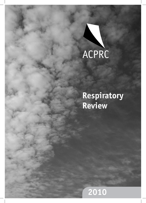

# **Respiratory Review**

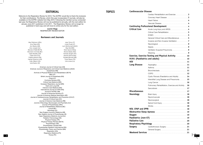#### **EDITORIAL** Welcome to the Respiratory Review for 2010. The ACPRC would like to thank the reviewers for their contributions. The Review, which this year incorporates 37 journals, will also be available on the ACPRC website from May 2010. Following the member survey conducted last year, the Respiratory Review will now be published bi-annually, with the next edition for January-June 2011 published in Oct 2011. The Respiratory Review will no longer be published in hard copy and will move to online only for the next edition. *Lauren Hogg* RESPIRATORY REVIEW EDIT **Reviewers and Journals** American Journal of Critical Care (CB) American Journal of Respiratory and Critical Care Medicine (LMc D ) Anaesthesia (RB) Archives of Physical Medicine and Rehabilitation (BO'N) BMJ (LF) British Journal of Anaesthesia (NG) Chest (LF) Cochrane Reviews (RG) Critical Care Medicine (MN) European Respiratory Journal (MN) Heart and Lung (CB) Intensive Care Medicine (NG) International Journal of COP D (RG) Journal of ACPRC (AB) Journal of Advanced Nursing (JT) Journal of American Medical Association (AR) Journal of Cardiopulmonary Rehabilitation and Prevention (CH/LF) Journal of Critical Care (CH) Journal of Intensive Care Medicine (RB) Journal of Neurology, Neurosurgery and Psychiatry (UJ) Journal of Physiotherapy (ARo) Journal of Rehabilitation Medicine (BC) Lancet (BC) Neurology (UJ) New England Journal of Medicine (AB) **Cardiovascular Disease Continuing Professi Critical Care Exercise, Exercise T H1N1 (Paediatrics Lung Disease Miscellaneous Neurology NIV, CPAP and IPPB Topics** Jane Toms (JT) Lizzie Flude (LF) Lynn McDonnell (LMcD) May Nel (MN) Nicki Garner (NGa) Nicola Glasby (NG) Pamela Vaughn (PV) Rachel Garrod (RG) Rosalie Bennett (RB) Trudy Reeve (TR) Una Jones (UJ) Alex Robinson (ARo) Amy Rees (AR) Ann Banks (AB) Arun Joseph (AJ) Brenda O'Neill (BO'N) Bronwen Connolly (BC) Claire Bradley (CB) Claire Hine (CH) Fidelma Moran (FM) Harriert Shannon (HS) Holly Gilbert (HG) Izzie Easton (IE)

New Zealand Journal of Physiotherapy (IE ) Open Respiratory Medicine Journal (AJ) Pediatric Pulmonology (HS) Physical Therapy (TR) Physical Therapy Reviews (BO'N) Physiotherapy (CB) Physiotherapy Canada (FM) Physiotherapy Research International (RG) Physiotherapy Theory and Practice (MN) Respiration (HG) Respiratory Medicine (P V) Thorax (P V)

**1**



|                        | Cardiac Rehabilitation and Exercise 3                |  |
|------------------------|------------------------------------------------------|--|
|                        | Coronary Heart Disease 3                             |  |
|                        |                                                      |  |
|                        |                                                      |  |
|                        |                                                      |  |
| <b>Critical Care</b>   |                                                      |  |
|                        |                                                      |  |
|                        |                                                      |  |
|                        | General Critical Care and Miscellaneous  5           |  |
|                        |                                                      |  |
|                        |                                                      |  |
|                        |                                                      |  |
|                        | Ventilator Acquired Pneumonia9                       |  |
|                        |                                                      |  |
|                        | Exercise, Exercise Testing and Physical Activity  10 |  |
|                        |                                                      |  |
| <b>HIV</b>             |                                                      |  |
| <b>Lung Disease</b>    |                                                      |  |
|                        |                                                      |  |
|                        |                                                      |  |
|                        |                                                      |  |
|                        | Cystic Fibrosis (Paediatrics and Adults) 14          |  |
|                        | Interstitial Lung Disease and Pneumonia 15           |  |
|                        |                                                      |  |
|                        | Pulmonary Rehabilitation, Exercise and Activity  16  |  |
|                        |                                                      |  |
| <b>Miscellaneous</b>   |                                                      |  |
| <b>Neurology</b>       |                                                      |  |
|                        |                                                      |  |
|                        |                                                      |  |
|                        |                                                      |  |
|                        |                                                      |  |
|                        |                                                      |  |
|                        |                                                      |  |
| <b>Oxygen</b>          |                                                      |  |
|                        |                                                      |  |
| <b>Palliative Care</b> |                                                      |  |
|                        |                                                      |  |
| <b>Surgery</b>         |                                                      |  |
|                        |                                                      |  |
|                        |                                                      |  |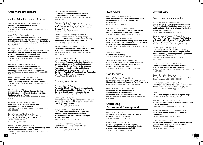

# **Cardiovascular disease**

# Cardiac Rehabilitation and Exercise

# Araya-Ramírez F, Briggs KK, Bishop SR et al **Who Is Likely to Benefit From Phase II**

**Cardiac Rehabilitation?** 

*Journal of Cardiopulmonary Rehabilitation and Prevention* 2010; 30(2): 93-100

### Arena R, Pinkstaff S, Wheeler E et al

**Neuromuscular Electrical Stimulation and Inspiratory Muscle Training as Potential Adjunctive Rehabilitation Options for Patients with Heart Failure**  *Journal of Cardiopulmonary Rehabilitation and Prevention* 2010; 30(4): 209-223

# Blanchard CM, Reid RD, Morrin LI et al

**Demographic and Clinical Determinants of Moderate to Vigorous Physical Activity during Home-Based Cardiac Rehabilitation: The Home-Based Determinants of Exercise (HOME) Study**  *Journal of Cardiopulmonary Rehabilitation and Prevention* 2010;

30(4): 240-245

# Blumenthal J, Wang J, Babyak M et al

**Enhancing Standard Cardiac Rehabilitation with Stress Management Training: Background, Methods, and Design for the Enhanced Study** *Journal of Cardiopulmonary Rehabilitation and Prevention* 2010; 30(2): 77-84

# Eder B, Hofmann P, von Duvillard SP et al **Early 4-Week Cardiac Rehabilitation Exercise Training in Elderly Patients After Heart Surgery**

*Journal of Cardiopulmonary Rehabilitation and Prevention* 2010; 30(2): 85-92

# Evans J, Bethell H, Turner S **Characteristics of Patients Entering Cardiac Rehabilitation in the United Kingdom 1993-2006: Implications for the Future** *Journal of Cardiopulmonary Rehabilitation and Prevention* 2010;

30(6): suppl

#### Kaminsky DA, Savage PD, Callas PW et al **Lung Function and Cardiovascular Risk:**

**Effect of Cardiac Rehabilitation**  *Journal of Cardiopulmonary Rehabilitation and Prevention* 2010;

30(6): 384-390

# Keib CN, Reynolds NR, Ahijevych KL

### **Poor Use of Cardiac Rehabilitation Among Older Adults: A Self-Regulatory Model for Tailored Interventions** *Heart and Lung* 2010; 39(6): 504-511

### Keteyian SJ, Piña IL, Hibner BA et al **Clinical Role of Exercise Training in the Management of Patients With Chronic Heart Failure**

*Journal of Cardiopulmonary Rehabilitation and Prevention* 2010; 30(2): 67-76

# Thanavaro JL, Thanavaro S, Delicath T **Health Promotion Behaviours in Women with Chest Pain** *Heart and Lung* 2010; 39(5): 394-403

### Marzolini S, Candelaria H, Oh P **Prevalence and Impact of Musculoskeletal Co-Morbidities in Cardiac Rehabilitation**  *Journal of Cardiopulmonary Rehabilitation and Prevention* 2010; 30(6): 391-400

# Pepera G, McAllister J, Sandercock G **Long-term Reliability of the Incremental Shuttle Walking Test in Clinically Stable Cardiovascular Disease Patients**

*Physiotherapy* 2010; 96(3): 222-227

# Pozehl B, Duncan K, Hertzog M, Norman JF **Heart Failure Exercise and Training Camp: Effects of a Multi-Component Exercise Training Intervention in Patients With Heart Failure** *Heart and Lung* 2010; 39(6): S1-S13

# Saval MA, Kerrigan DJ, Ophaug KM et al

**Relationship Between Leg Muscle Endurance and VE/VCO2 Slope in Patients With Heart Failure**  *Journal of Cardiopulmonary Rehabilitation and Prevention* 2010; 30(2): 106-110

# Thomas R, King M, Lui K et al

**Reprint-AACVPR/ACCF/AHA 2010 Update; Performance Measures on Cardiac Rehabilitation for Referral to Cardiac Rehabilitation/Secondary Prevention Services: A Report of the American Association of Cardiovascular and Pulmonary Rehabilitation and the American College of Cardiology Foundation / American Heart Association Task Force on Performance Measures** *Physical Therapy* 2010; 90(10): 1373-82

# Coronary Heart Disease

# Goulding L, Furze G, Birks Y

**Randomized Controlled Trials of Interventions to Change Maladaptive Illness Beliefs in People with Coronary Heart Disease: Systematic Review** *Journal of Advanced Nursing* 2010; 66(5): 946-961

# Grewal K, Stewart DE, Grace SL

**Differences in Social Support and Illness Perception Among South Asian and Caucasian Patients with Coronary Artery Disease** *Heart and Lung* 2010; 39(3): 180-187

# Janey C Peterson, JP Allegrante, PA et al

**Living with Heart Disease After Angioplasty: A Qualitative Study of Patients Who Have Been Successful or Unsuccessful in Multiple Behaviour Change** *Heart and Lung* 2010; 39(2): 105-115

**31**

# Heart Failure

# Aguado O, Morcillo C, Delàs J et al

**Long-Term Implications of a Single Home-Based Educational Intervention in Patients With Heart Failure**

*Heart and Lung* 2010; 39(6): S14-S22

Carvalho VO, Garrod R, Bocchi EA et al **Validation of the London Chest Activity of Daily Living Scale in Patients with Heart Failure** *Journal of Rehabilitative Medicine* 2010; 42: 715–718

# Guazzi M, Myers J, Peberdy MA et al

**Cardiopulmonary Exercise Testing Variables Reflect the Degree of Diastolic Dysfunction in Patients with Heart Failure-Normal Ejection Fraction**  *Journal of Cardiopulmonary Rehabilitation and Prevention* 2010; 30(3): 165-172

Jefferies JL, Towbin JA **Dilated Cardiomyopathy** *The Lancet* 2010; 375(9716): 752-762

Smeulders E, van Haastregt J, Ambergen T **Nurse-Led Self-Management Group Programme for Patients with Congestive Heart Failure: Randomized Controlled Trial** *Journal of Advanced Nursing* 2010; 66(7): 1487-1499

# Vascular disease

# Honnesh S, Goosen L, Adams N et al **Effect of Short Term Exercise Training on Aerobic Fitness in Patients with Abdominal Aortic Aneurysms** *British Journal of Anaesthesia* 2010; 104(2): 265-267

Myers JN, White JJ, Narasimhan B et al **Effects of Exercise Training in Patients with Abdominal Aortic Aneurysm: Preliminary Results from a Randomized Trial**  *Journal of Cardiopulmonary Rehabilitation and Prevention* 2010; 30(6): 374-383

# **Continuing Professional Development**

Dowds J, O'Hanlon DJ **An Evaluation of the Use of Feedback During Respiratory In-Service Training** *Journal of the ACPRC* 2010; 42: 16-21

Frenk J, Chen L, Bhutta ZA et al **Health Professionals for a New Century: Transforming Education to Strengthen Health Systems in an Interdependent World** *The Lancet* 2010; 376(9756): 1923-1958

# Acute Lung Injury and ARDS

Antonelli M, Azoulay E, Bonten M et al **Year in Review in** *Intensive Care Medicine* **2009. Part III: Mechanical Ventilation, Acute Lung Injury and Respiratory Distress Syndrome, Paediatrics, Ethics, and Miscellanea**

*Intensive Care Medicine* 2010; 36(4): 567–584

Bajwa AA, Arasi L, Canabal JM, Kramer D J **Automated Prone Positioning and Axial Rotation in Critically Ill, Non-Trauma Patients with Acute Respiratory Distress Syndrome (ARDS)**

*Journal of Intensive care Medicine* 2010; 25: 121-125

Briel M, Meade M, Mercat A et al **Higher Versus Lower Positive End-Expiratory Pressure in Patients with Acute Lung Injury and Acute Respiratory Distress Syndrome- Systematic Review and Meta-Analysis**

*Journal of the American Medical Association* 2010; 303(9): 865-873

Caironi P, Cressoni M, Chiumello D et al **Lung Opening and Closing During Ventilation of Acute Respiratory Distress Syndrome** *American Journal of Respiratory and Critical Care Medicine* 2010; 181: 578-586

Diaz JV, Brower R, Calfee C et al **Therapeutic Strategies for Severe Acute Lung Injury** *Critical Care Medicine* 2010; 38(8): 1644-1650

López-Aguilar J, Quilez M, Martí-Sistac O **Early Physiological and Biological Features in Three Animal Models of Induced Acute Lung Injury** *Intensive Care Medicine* 2010; 36(2): 347-355

Marini J

**Prone Positioning for ARDS: Defining the Target** *Intensive Care Medicine* 2010; 36(4): 559-561

Papazian L, Forel J-M, Gacouin A et al **Neuromuscular Blockers in Early Acute Respiratory Distress Syndrome**

*New England Journal of Medicine* 2010; 363(12): 1107-16

Peltekova V, Engelberts D, Otulakowski G et al **Hypercapnic Acidosis in Ventilator-Induced Lung Injury** *Intensive Care Medicine* 2010; 36(5): 869-878

Rabe C, Appenrodt B, Hoff S **Severe Respiratory Failure Due to Diffuse Alveolar Haemorrhage: Clinical Characteristics and Outcome of Intensive Care** *Journal of Critical Care* 2010; 25(2): 230-235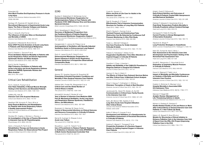

#### Rubenfeld GD **How Much Positive End Expiratory Pressure in Acute Lung Injury** *Journal of the American Medical Association* 2010;

303(9): 883-884

Santiago VR, Rzezinski AF, Nardelli LM et al **Recruitment Manoeuvre in Experimental Acute Lung Injury: The Role of Alveolar Collapse and Oedema** *Critical Care Medicine* 2010; 38(11): 2207-2214

Sheu C, Gong M, Zhai R et al **The Influence of Infection Sites on Development and Mortality of ARDS** *Intensive Care Medicine* 2010; 36(6): 963-970

Squadrone V, Massaia M, Bruno B et al **Early CPAP Prevents Evolution of Acute Lung Injury in Patients with Haematological Malignancy** *Intensive Care Medicine* 2010; 36(10): 1666-1674

# Sud S, Friedrich J, Taccone P et al

**Prone Ventilation Reduces Mortality in Patients with Acute Respiratory Failure and Severe Hypoxemia: Systematic Review and Meta-Analysis** *Intensive Care Medicine* 2010; 36(4): 585-599

# Sud S, Sud M, Friedrich J

**High Frequency Oscillation in Patients with Acute Lung Injury and Acute Respiratory Distress Syndrome (ARDS): Systematic Review and Meta-Analysis** *BMJ* 2010; 340: c2327

# Critical Care Rehabilitation

Fan E, Ciesla N, Truong A et al **Inter-Rater Reliability of Manual Muscle Strength Testing in ICU Survivors and Simulated Patients** *Intensive Care Medicine* 2010; 36(6): 1038-1043

Griffiths RD, Hall JB **Intensive Care Unit Acquired Weakness** *Critical Care Medicine* 2010; 38(3): 779-787

Needham DM, Korupolu R, Zanni JM et al **Early Physical Medicine and Rehabilitation for Patients with Acute Respiratory Failure: A Quality Improvement Project** *Archives of Physical Medicine and Rehabilitation* 2010; 91(4): 536-542

Stockley RC, Hughes J, Morrison J, Rooney J **An Investigation of the Use of Passive Movements in Intensive Care by UK Physiotherapists** *Physiotherapy* 2010; 96(3): 228-233

Zanni J, Korupolu R, Fan E et al **Rehabilitation Therapy and Outcomes in Acute Respiratory Failure: An Observational Pilot Project** *Journal of Critical Care* 2010; 25(2): 254-262

# ECMO

Buckley E, Sidebotham D, McGeorge A et al **Extracorporeal Membrane Oxygenation for Cardiorespiratory Failure in Four Patients with Pandemic H1N1 2009 Influenza Virus and Secondary Bacterial Infection**

*British Journal of Anaesthesia* 2010; 104(3): 326-329

Bui K, Senadheera D, Wang X et al

**Recovery of Multipotent Progenitors from the Peripheral Blood of Patients Requiring Extracorporeal Membrane Oxygenation Support** *American Journal of Respiratory and Critical Care Medicine* 2010; 181: 226-237

Karagiannidis C, Lubnow M, Philipp A et al **Autoregulation of Ventilation with Neurally Adjusted Ventilatory Assist on Extracorporeal Lung Support** *Intensive Care Medicine* 2010; 36(12): 2038-2044

### Roch A, Lepaul-Ercole R, Grisoli D et al

**Extracorporeal Membrane Oxygenation for Severe Influenza A (H1N1) Acute Respiratory Distress Syndrome: A Prospective Observational Comparative Study**

*Intensive Care Medicine* 2010; 36(11): 1899-1905

# General

Abrams TE, Vaughan-Sarrazin M, Rosenthal GE **Preexisting Comorbid Psychiatric Conditions and Mortality in Non-Surgical Intensive Care Patients** *American Journal of Critical Care* 2010; 19(3): 241-249

Adhikari NKJ, Fowler RA, Bhagwanjee S et al **Critical Care and the Global Burden of Critical Illness in Adults** *The Lancet* 2010; 376(9749): 1339-1346

### Antonelli M, Azoulay E, Bonten M et al

**Year in Review in** *Intensive Care Medicine* **2009. Part III: Mechanical Ventilation, Acute Lung Injury and Respiratory Distress Syndrome, Paediatrics, Ethics, and Miscellanea**

*Intensive Care Medicine* 2010; 36(4): 567–584

Burgmann H, Hiesmayr M, Savey A et al **Impact of Nosocomial Infections on Clinical Outcome and Resource Consumption in Critically Ill Patients** *Intensive Care Medicine* 2010; 36(9): 1597-1601

Bernal W, Auzinger G, Dhawan A et al **Acute Liver Failure** *The Lancet* 2010; 376(9736): 190-201

Bouadma L, Luyt C-E, Tubach F et al **Use of Procalcitonin to Reduce Patients' Exposure to Antibiotics in Intensive Care Units (PRORATA trial): A Multi-Centre Randomised Controlled Trial** *The Lancet* 2010; 375(9713): 463-474

Curtis RJ, Vincent J-L **Ethics and End-of-Life Care for Adults in the Intensive Care Unit** *The Lancet* 2010; 376(9749): 1347-1353

Daly B, Douglas S, O'Toole E

**Effectiveness Trial of Intensive Communication Structure for Families of Long-Stay ICU Patients** *Chest* 2010; 138(6): 1340-8

# Efrati S, Deutsch I, Gurman G et al

**Tracheal Pressure and Endotracheal Tube Obstruction Can Be Detected by Continuous Cuff Pressure Monitoring: In Vitro Pilot Study** *Intensive Care Medicine* 2010; 36(6): 984-990

Feider LL, Mitchell P, Bridges E

**Oral Care Practices for Orally Intubated Critically Ill Adults** *American Journal of Critical Care* 2010; 19(2): 175-183

Fildissis G, Katostaras T, Moles A et al **Oxygenation Equilibration Time After Alteration of Inspired Oxygen in Critically Ill Patients** *Heart and Lung* 2010; 39(2): 147-152

Guenther U, Popp J, Koecher L **Validity and Reliability of the CAM-ICU Flowsheet to Diagnose Delirium in Surgical ICU Patients** *Journal of Critical Care* 2010; 25(1): 144-151

### Harrison D, Gao H, Welch C

**The Effects of Critical Care Outreach Services Before and After Critical Care: A Matched-Cohort Analysis** *Journal of Critical Care* 2010; 25(2): 196-204

Hiner C, Kasuya T, Cottingham C, Whitney J **Clinicians' Perception of Head-of-Bed Elevation**  *American Journal of Critical Care* 2010; 19(2): 164-167

Jacobowski NL, Girard TD, Mulder JA, Ely EW **Communication in Critical Care: Family Rounds in the Intensive Care Unit** *American Journal of Critical Care* 2010; 199(5): 421-430

Kahn JM, Benson NM, Appleby D et al **Long Term Acute Care Hospital Utilisation After Critical Illness** *Journal of the American Medical Association* 2010; 303(22): 2253-2259

Kalfon P, Mimoz O, Auquier P et al **Development and Validation of a Questionnaire for Quantitative Assessment of Perceived Discomforts in Critically Ill Patients** *Intensive Care Medicine* 2010; 36(10): 1751-1758

Karbing D, Allerød C, Thorgaard P et al **Prospective Evaluation of a Decision Support System for Setting Inspired Oxygen in Intensive Care Patients**

*Journal of Critical Care* 2010; 25(3): 367-374

Khalid I, Doshi P, DiGiovine B **Early Enteral Nutrition and Outcomes of Critically Ill Patients Treated With Vasopressors and Mechanical Ventilation**

*American Journal of Critical Care* 2010; 19(3): 261-268

Kiekkas P, Velissaris D, Karanikolas M et al **Peak Body Temperature Predicts Mortality in Critically Ill patients without Cerebral Damage** *Heart and Lung* 2010; 39(3): 208-216

Kjonegaard R, Fields W, King ML **Current Practice in Airway Management: A Descriptive Evaluation**

*American Journal of Critical Care* 2010; 19(2): 168-173

Kilpatrick B, Slinger P **Lung Protective Strategies in Anaesthesia** *British Journal of Anaesthesia* 2010; 105(Suppl 1): i108-i116

Klein DG, Dumpe M, Katz E, Bena J **Pain Assessment in the Intensive Care Unit: Development and Psychometric Testing of the Nonverbal Pain Assessment Tool** Heart and Lung 2010; 39(6): 521-528

Kondili E, Alexopoulou C, Xirouchaki N et al **Estimation of Inspiratory Muscle Pressure in Critically Ill Patients** *Intensive Care Medicine* 2010; 36(4): 648-655

Ksouri H, Balanant P, Tadié J et al **Impact of Morbidity and Mortality Conferences on Analysis of Mortality and Critical Events in Intensive Care Practice**

*American Journal of Critical Care* 2010; 19(2): 135-145

Kuijsten H, Brinkman S, Meynaar I et al **Hospital Mortality is Associated With ICU Admission Time** *Intensive Care Medicine* 2010; 36(10): 1765-1771

Mannam P, Siegel MD **Analytic Review: Management of Life-Threatening Asthma in Adults**  *Journal of Intensive Care Medicine* 2010; 25: 3-15

Myhren H, Ekeberg Ø, Stokland O **Health-Related Quality of Life and Return to Work After Critical Illness in General Intensive Care Unit Patients: A 1-Year Follow-Up Study** *Critical Care Medicine* 2010; 38(7): 1554-1561

Nelson JE, Bassett R, Boss RD et al **Models for Structuring a Clinical Initiative to Enhance Palliative Care in the Intensive Care Unit: A Report from the IPAL-ICU Project (Improving Palliative Care in the ICU)**  *Critical Care Medicine* 2010; 38(9): 1765-1772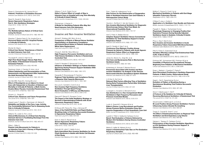

#### Perren A, Previsdomini M, Llamas M et al **Patients' Prediction of Extubation Success** *Intensive Care Medicine* 2010; 36(12): 2045-2052

Raoof S, Goulet K, Esan A et al **Severe Hypoxemic Respiratory Failure: Part 2- Non-Ventilatory Strategies** *Chest* 2010; 137(6): 1437-48

#### Savel RH

# **The Multidisciplinary Nature of Critical Care: Living the Dream**

*American Journal of Critical Care* 2010; 19(6): 480-482

Sharshar T, Bastuji-Garin S, De Jonghe B et al **Hormonal Status and ICU- Acquired Paresis in Critically Ill Patients** *Intensive Care Medicine* 2010; 36(8): 1318-1326

Shorter M, Stayt L **Critical Care Nurses' Experiences of Grief in an Adult Intensive Care Unit** *Journal of Advanced Nursing* 2010; 66(1): 159-167

### Tiruvoipati R, Lewis D, Haji K et al

**High-Flow Nasal Oxygen Versus High-Flow Face Mask: A Randomized Crossover Trial in Extubated Patients** *Journal of Critical Care* 2010; 25(3): 463-468

Topolovec-Vranic J, Canzian S, Innis J et al **Patient Satisfaction and Documentation of Pain Assessments and Management After Implementing the Adult Nonverbal Pain Scale** *American Journal of Critical Care* 2010; 19(4): 345-354

Van Eijk MM, Roes KC, Honing ML et al **Effect of Rivastigmine as an Adjunct to Usual Care with Haloperidol on Duration of Delirium and Mortality in Critically Ill Patients: a Multi-Centre, Double-Blind, Placebo-Controlled Randomised Trial** *The Lancet* 2010; 376(9755): 1829-1837

Vincent J-L, Singer M **Critical Care: Advances and Future Perspectives** *The Lancet* 2010; 376(9749): 1354-1361

Voepel-Lewis T, Zanotti J, Dammeyer JA, Merkel S **Reliability and Validity of the Face, Legs, Activity, Cry, Consolability Behavioral Tool in Assessing Acute Pain in Critically Ill Patients** *American Journal of Critical Care* 2010; 19(1): 55-61

Williams TA, Leslie G, Finn J et al **Clinical Effectiveness of a Critical Care Nursing Outreach Service in Facilitating Discharge From the Intensive Care Unit**

*American Journal of Critical Care* 2010; 19(5): e63-e72

# Wiles L, Stiller K

**Passive Limb Movements for Patients in an Intensive Care Unit: A Survey of Physiotherapy Practice in Australia** *Journal of Critical Care* 2010; 25(3): 501-508

#### Williams T, Ho K, Dobb G et al

**Editor's Choice: Effect of Length of Stay in Intensive Care on Hospital and Long Term Mortality of Critically Ill Adult Patients** *British Journal of Anaesthesia* 2010; 104(4): 459-464

Zimmerman J, Kramer A **A Model for Identifying Patients Who May Not Need Intensive Care Unit Admission** *Journal of Critical Care* 2010; 25(2): 205-213

# Invasive and Non-invasive Ventilation

### Ahmed F, Shafeeq AM, Moiz JA et al

**Comparison of Effects of Manual Versus Ventilator Hyperinflation on Respiratory Compliance and Arterial Blood Gases in Patients Undergoing Mitral Valve Replacement** *Heart and Lung* 2010; 39(5): 437-443

# Chung K, Wolf SE, Renz EM et al

**High-Frequency Percussive Ventilation and Low Tidal Volume Ventilation in Burns: A Randomized Controlled Trial**  *Critical Care Medicine* 2010; 38(10): 1970-1977

# Costa R, Navalesi P, Spinazzola G et al

**Influence of Ventilator Settings on Patient–Ventilator Synchrony During Pressure Support Ventilation With Different Interfaces** *Intensive Care Medicine* 2010; 36(8): 1363-1370

### Dargaville P, Rimensberger P, Frerichs I

**Regional Tidal Ventilation and Compliance During a Stepwise Vital Capacity Manoeuvre** *Intensive Care Medicine* 2010; 36(11): 1953-1961

### De Luca D, Carnielli V, Conti G et al

**Non-Invasive High Frequency Oscillatory Ventilation Through Nasal Prongs: Bench Evaluation of Efficacy and Mechanics** *Intensive Care Medicine* 2010; 36(12): 2094-2100

### Depuydt P, Benoit D, Roosens C et al

Pitts R. Fisher D. Sulemanii D et al **Variables Affecting Leakage Past Endotracheal Tube Cuffs: A Bench Study** *Intensive Care Medicine* 2010; 36(12): 2066-2073

**The Impact of the Initial Ventilatory Strategy on Survival in Haematological Patients with Acute Hypoxemic Respiratory Failure**  *Journal of Critical Care* 2010; 25(1): 30-36

### El Khoury MY, Panos RJ, Ying J, Almoosa KF

**Value of the PaO2:FiO2 Ratio and Rapid Shallow Breathing Index in Predicting Successful Extubation in Hypoxemic Respiratory Failure** *Heart and Lung* 2010; 39(6): 529-536

## Esan A, Hess D, Raoof S et al **Severe Hypoxemic Respiratory Failure: Part 1-Ventilatory Strategies** *Chest* 2010; 137(5): 1203-16

# Fartoukh M, Lefort Y, Habibi A et al

**Early Intermittent Non-Invasive Ventilation for Acute Chest Syndrome in Adults with Sickle Cell Disease: A Pilot Study** *Intensive Care Medicine* 2010; 36(8): 1355-1362

**71**

# Fick I, Tijdink M, Halbertsma F et al

**Risk Factors for the Deterioration of Oxygenation Ratio in Ventilated Intensive Care Unit Patients: A Retrospective Cohort Study** *Journal of Critical Care* 2010; 25(1): 3-9

Heunks L, De Bruin C, Van der Hoeven J et al **Non-Invasive Mechanical Ventilation for Diagnostic Bronchoscopy Using a New Face Mask: An Observational Feasibility Study** *Intensive Care Medicine* 2010; 36(1): 143-147

#### Iotti G, Polito A, Belliato M et al

**Adaptive Support Ventilation Versus Conventional Ventilation for Total Ventilatory Support in Acute Respiratory Failure** *Intensive Care Medicine* 2010; 36(8): 1371-1379

#### Isgrò S, Zanella A, Sala C et al

**Continuous Flow Biphasic Positive Airway Pressure by Helmet in Patients with Acute Hypoxic Respiratory Failure: Effect on Oxygenation** *Intensive Care Medicine* 2010; 36(10): 1688-1694

Jones DJ, Munro CL, Grap MJ, et al **Oral Care and Bacteraemia Risk in Mechanically Ventilated Adults** *Heart and Lung* 2010; 39(6): S57-S65

#### Kohlenberg A, Schwab F, Behnke M et al

**Pneumonia Associated with Invasive and Non-Invasive Ventilation: An Analysis of the German Nosocomial Infection Surveillance System Database** *Intensive Care Medicine* 2010; 36(6): 971-978

#### Li Q,Yao G, Ge Q et al

**Relevant Risk Factors Affecting Time of Ventilation During Early Postoperative Period After Orthotopic Liver Transplantation** *Journal of Critical Care* 2010; 25(2): 221-224

#### Lucangelo U, Accardo A, Bernardi A et al

**Gas Distribution in a Two-Compartment Model Ventilated in High-Frequency Percussive and Pressure-Controlled Modes** *Intensive Care Medicine* 2010; 36(12): 2125-2131

# Lumb A, Greenhill S, Simpson M et al

**Editor's Choice: Lung Recruitment and Positive Airway Pressure Before Extubation Does Not Improve Oxygenation in Post Anaesthetic Care Unit** *British Journal of Anaesthesia* 2010; 104(5): 643-647

# Lyazidi A, Thille A, Guillaume Carteaux G et al **Bench Test Evaluation of Volume Delivered by Modern ICU Ventilators During Volume-Controlled Ventilation**

*Intensive Care Medicine* 2010; 36(12): 2074-2080

# Mehta S, Heffer M, Maham N et al **Impact of Endotracheal Tube Size on Pre-Extubation Respiratory Variables** *Journal of Critical Care* 2010; 25(3): 483-488

Mollica C, Paone G, Conti V et al **Mechanical Ventilation in Patients with End-Stage Idiopathic Pulmonary Fibrosis** *Respiration* 2010; 79(3): 209-215

O'Brien P, Joss J, Crofts S **Application of a Ventilator Care Bundle and Outcome** *British Journal of Anaesthesia* 2010; 104(1): 112-113

Passath C, Takala J, Tuchscherer D et al **Physiologic Response to Changing Positive End Expiratory Pressure During Neurally Adjusted Ventilatory Assist in Sedated, Critically Ill Adults** *Chest* 2010; 138(3): 578-87

Phua J, Ang Y, See K et al **Non-Invasive and Invasive Ventilation in Acute Respiratory Failure Associated With Bronchiectasis** *Intensive Care Medicine* 2010; 36(4): 638-647

Pohlman MC, Schweickert WD, Pohlman AS et al **Feasibility of Physical and Occupational Therapy Beginning from Initiation of Mechanical Ventilation** *Critical Care Medicine* 2010; 38(11): 2089-2094

Rose L, Baldwin I, Crawford T, Parke R **Semi-Recumbent Positioning in Ventilator-Dependent Patients: A Multi-Centre, Observational Study** *American Journal of Critical Care* 2010; 19(6): e100-e108

Segal L, Oei E, Oppenheimer B et al **Evolution of Pattern of Breathing During a Spontaneous Breathing Trial Predicts Successful Extubation**

*Intensive Care Medicine* 2010; 36(3): 487-495

Strom T, Martinussen T, Toft P **A Protocol of No Sedation for Critically Ill Patients Receiving Mechanical Ventilation: A Randomised Trial** *The Lancet* 2010; 375(9713): 475-480

Szkulmowski Z, Belkhouja K, Le Q et al **Bi-Level Positive Airway Pressure Ventilation: Factors Influencing Carbon Dioxide Re-breathing** *Intensive Care Medicine* 2010; 36(4): 688-691

Tingay D, Copnell B, Grant C et al **The Effect of Endotracheal Suction on Regional Tidal Ventilation and End-Expiratory Lung Volume** *Intensive Care Medicine* 2010; 36(5): 888-896

Vignaux L, Tassaux D, Carteaux G et al **Performance of Non-Invasive Ventilation Algorithms on ICU Ventilators During Pressure Support: A Clinical Study** *Intensive Care Medicine* 2010; 36(12): 2053-2059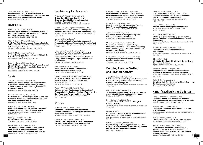**110**

Zoremba M, Kalmus G, Dette F et al **Effect of Intra-Operative Pressure Support vs Pressure Controlled Ventilation on Oxygenation and Lung Function in Moderately Obese Adults**  *Anaesthesia* 2010; 65: 124-129

# Neurological

# Arabi Y, Haddad S, Tamim H et al

**Mortality Reduction After Implementing a Clinical Practice Guidelines–Based Management Protocol for Severe Traumatic Brain Injury** *Journal of Critical Care* 2010; 25(2): 190-195

Chan LY, Jones AY, Chung RC, Hung KN

**Peak Flow Rate During Induced Cough: A Predictor of Successful Decannulation of a Tracheotomy Tube in Neurosurgical Patients** *American Journal of Critical Care* 2010; 19(3): 278-284

Legriel S, Marijon H, Darmon M et al

**Central Neurological Complications in Critically Ill Patients with Malignancies** *Intensive Care Medicine* 2010; 36(2): 232-240

Prigent H, Garguilo M, Pascal S et al **Speech Effects of a Speaking Valve Versus External PEEP in Tracheostomised Ventilator-Dependent Neuromuscular Patients** *Intensive Care Medicine* 2010; 36(10): 1681-1687

# **Sepsis**

Antonelli M, Azoulay E, Bonten M et al **Year in Review in** *Intensive Care Medicine* **2009: I. Pneumonia and Infections, Sepsis, Outcome, Acute Renal Failure and Acid Base, Nutrition and Glycaemic Control**  *Intensive Care Medicine* 2010; 36(2): 196–209

Brunello A, Haenggi M, Wigger O et al **Usefulness of a Clinical Diagnosis of ICU-Acquired Paresis to Predict Outcome in Patients with SIRS and Acute Respiratory Failure** *Intensive Care Medicine* 2010; 36(1): 66-74

Iwashyna TJ, Ely EW, Smith DM et al **Long Term Cognitive Impairment and Functional Disability Among Survivors of Severe Sepsis** *Journal of the American Medical Association* 2010; 304(16): 1787-1794

Lazosky A, Young G, Zirul S et al **Quality of Life After Septic Illness** *Journal of Critical Care* 2010; 25(3): 406-412

Levy M, Dellinger P, Townsend S et al **The Surviving Sepsis Campaign: Results of an International Guideline-Based Performance Improvement Program Targeting Severe Sepsis** *Intensive Care Medicine* 2010; 36(2): 222-231

# Ventilator Acquired Pneumonia

El-Khatib MF, Zeineldine S, Ayoub C et al **Critical Care Clinicians' Knowledge of Evidence-Based Guidelines for Preventing Ventilator-Associated Pneumonia** *American Journal of Critical Care* 2010; 19(3): 272-276

Lacherade J-C, De Jonghe B, Guezennec P et al **Intermittent Subglottic Secretion Drainage and Ventilator-associated Pneumonia: A Multicenter Trial** *American Journal of Respiratory and Critical Care Medicine* 2010; 182: 910-917

Morrow L, Kollef M, Casale T **Probiotic Prophylaxis of Ventilator-associated Pneumonia: A Blinded, Randomized, Controlled Trial** *American Journal of Respiratory and Critical Care Medicine* 2010; 182: 1058-1064

Nguile-Makao M, Zahar J, Français A et al **Attributable Mortality of Ventilator-Associated Pneumonia: Respective Impact of Main Characteristics at ICU Admission and VAP Onset Using Conditional Logistic Regression and Multi-State Models**

*Intensive Care Medicine* 2010; 36(5): 781-789

Rello J, Lode H, Cornaglia G et al **A European Care Bundle for Prevention of Ventilator-Associated Pneumonia** *Intensive Care Medicine* 2010; 36(5): 773-780

Tejerina E, Esteban A, Fernández-Segoviano P et al **Accuracy of Clinical Definitions of Ventilator-Associated Pneumonia: Comparison with Autopsy Findings** *Journal of Critical Care* 2010; 25(1): 62-68

Terragni PR, Antonelli M, Fumagalli R et al **Early Versus Late Tracheotomy for Prevention of Pneumonia in Mechanically Ventilated Adult Intensive Care Patients: A Randomised Controlled Trial** *Journal of the American Medical Association* 2010; 30(15): 1483-1489

# Weaning

Burns SM, Fisher C, Tribble SS et al **Multifactor Clinical Score and Outcome of Mechanical Ventilation Weaning Trials: Burns Wean Assessment Program**

*American Journal of Critical Care* 2010; 19(5): 431-439

Cabello B, Thille A, Roche-Campo F et al **Physiological Comparison of Three Spontaneous Breathing Trials in Difficult-To-Wean Patients** *Intensive Care Medicine* 2010; 36(7): 1171-1179

**91**

Cader SA, de Souza Vale RG, Castro JC et al **Inspiratory Muscle Training Improves Maximal Inspiratory Pressure and May Assist Weaning in Older Intubated Patients: A Randomised Trial** *Journal of Physiotherapy* 2010; 56(3): 171-178

Jubran A, Lawm G, Duffner L et al **Post-Traumatic Stress Disorder After Weaning From Prolonged Mechanical Ventilation** *Intensive Care Medicine* 2010; 36(12): 2030-2037

Jubran A, Lawm G, Kelly J et al

**Depressive Disorders During Weaning From Prolonged Mechanical Ventilation** *Intensive Care Medicine* 2010; 36(5): 828-835

Monaco F, Drummond G, Ramsay P et al **Do Simple Ventilation and Gas Exchange Measurements Predict Early Successful Weaning From Respiratory Support in Unselected General Intensive Care Patients?**

*British Journal of Anaesthesia* 2010; 105(3): 326-333

Papaioannou V, Dragoumanis C, Pneumatikos I **Biosignal Analysis Techniques for Weaning Outcome Assessment** *Journal of Critical Care* 2010; 25(1): 39-46

# **Exercise, Exercise Testing and Physical Activity**

Ayabe M, Brubaker PH, Mori Y et al **Self-Monitoring Moderate-Vigorous Physical Activity Versus Steps/Day Is More Effective in Chronic Disease Exercise Programs** 

*Journal of Cardiopulmonary Rehabilitation and Prevention* 2010; 30(2):111-115

Cecchini M, Sassi F, Lauer JA et al

**Tackling of Unhealthy Diets, Physical Inactivity, and Obesity: Health Effects and Cost-Effectiveness** *The Lancet* 2010; 376(9754): 1775-1784

Du H, Davidson PM, Everett B et al **Assessment of a Self-administered Adapted 6-Minute Walk Test** 

*Journal of Cardiopulmonary Rehabilitation and Prevention* 2010; 30(2):116-120

Kemi O, Wisløff U **High-Intensity Aerobic Exercise Training Improves the Heart in Health and Disease**  *Journal of Cardiopulmonary Rehabilitation and Prevention* 2010; 30(1): 2-11

Keteyian S, Brawner C, Ehrman J et al

**Reproducibility of Peak Oxygen Uptake and Other Cardiopulmonary Exercise Parameters: Implications for Clinical Trials and Clinical Practice** *Chest* 2010; 138(4): 950-5

Keyser RE, Rus V, Mikdashi JA et al **Exploratory Study on Oxygen Consumption On-Kinetics During Treadmill Walking in Women With Systemic Lupus Erythematosus**

*Archives of Physical Medicine and Rehabilitation* 2010; 91(9): 1402-1409

Lee I, Djousse L, Sesso HD et al **Physical Activity and Weight Gain Prevention** *Journal of the American Medical Association* 2010; 303(12): 1173-1179

Mainguy V, Maltais F, Saey D et al **Effects of a Rehabilitation Program on Skeletal Muscle Function in Idiopathic Pulmonary Arterial Hypertension** 

*Journal of Cardiopulmonary Rehabilitation and Prevention* 2010; 30(5): 319-323

Mourot L, Boussuges A, Maunier S et al **Cardiovascular Rehabilitation in Patients With Diabetes** 

*Journal of Cardiopulmonary Rehabilitation and Prevention* 2010; 30(3): 157-164

O'Dwyer C, Coote S

**A Guide for Clinicians – Physical Activity and Energy Expenditure Explained** *Physical Therapy Reviews* 2010; 15(5): 382-390

Terziyski K, Marinov B, Hodgev V et al **Standardized Peak Exercise Perception Score: Validation of a New Index of Effort Perception** 

*Journal of Cardiopulmonary Rehabilitation and Prevention* 2010; 30(1): 40-46

Tueller C, Kern L, Azzola A et al **Six-Minute Walk Test Enhanced by Mobile Telemetric Cardiopulmonary Monitoring** *Respiration* 2010; 80(5): 410-418

# **H1N1 (Paediatrics and adults)**

Farias J, Fernández A, Monteverde E et al **Critically Ill Infants and Children with Influenza A (H1N1) in Paediatric Intensive Care Units in Argentina** *Intensive Care Medicine* 2010; 36(6): 1015-1022

Mauad T, Hajjar L, Callegari G et al **Lung Pathology in Fatal Novel Human Influenza A (H1N1) Infection** *American Journal of Respiratory and Critical Care Medicine* 2010;

181: 72-79

Patel M, Dennis A, Flutter C et al **Editor's Choice: Pandemic (H1N1) 2009 Influenza** *British Journal of Anaesthesia* 2010; 104(2): 128-142

Roch A, Lepaul-Ercole R, Grisoli D et al **Extracorporeal Membrane Oxygenation for Severe Influenza A (H1N1) Acute Respiratory Distress Syndrome: A Prospective Observational Comparative Study**

*Intensive Care Medicine* 2010; 36(11): 1899-1905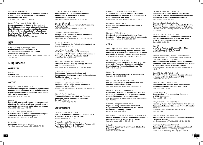

Sachedina N, Donaldson LJ **Paediatric Mortality Related to Pandemic Influenza A H1N1 Infection in England: An Observational Population-Based Study** *The Lancet* 2010; 376(9755): 1846-1852

Sprung C, Zimmerman J, Christian M et al **Recommendations for Intensive Care Unit and Hospital Preparations for an Influenza Epidemic or Mass Disaster: Summary Report of the European Society of** *Intensive Care Medicine***'s Task Force for Intensive Care Unit Triage During an Influenza Epidemic or Mass Disaster** *Intensive Care Medicine* 2010; 36(3): 428-443

# **HIV**

Gingo M, George M, Kessinger C et al **Pulmonary Function Abnormalities in HIV-Infected Patients during the Current Antiretroviral Therapy Era**

*American Journal of Respiratory and Critical Care Medicine* 2010; 182: 790-796

# **Lung Disease**

# **Aspergillus**

Grech R **Aspergilloma** *New England Journal of Medicine* 2010; 362(11): 1030

# Asthma

Bougault V, Turmel J, Boulet L et al **Bronchial Challenges and Respiratory Symptoms in Elite Swimmers and Winter Sport Athletes: Airways Hyperresponsivesness in Asthma: Its Measurement and Clinical Significance** *Chest* 2010; 138(2 suppl): 31S-37S

#### Brannan J

**Bronchial Hyperreponsivesness in the Assessment of Asthma Control: Airway Hyperresponsiveness in Asthma: Its Measurement and Clinical Significance** *Chest* 2010; 138(2 suppl): 11S-17S

Daviskas E, Anderson SD, Eberl S et al **Beneficial Effect of Inhaled Mannitol and Cough in Asthmatics With Mucociliary Dysfunction** *Respiratory Medicine* 2010; 104: 1645-1653

#### Lazarus SC

**Emergency Treatment of Asthma** *New England Journal of Medicine* 2010; 363(8): 755-64 Lincourt W, Stanford R, Gilsenan A et al **Assessing Primary Care Physician's Beliefs and Attitudes of Asthma Exacerbation Treatment and Follow-Up** *Open Respiratory Medicine Journal* 2010; 4: 9–14

Mannam P, Siegel MD **Analytic Review: Management of Life-Threatening Asthma in Adults** 

*Journal of Intensive Care Medicine* 2010; 25: 3-15

Moffatt MF, Gut I, Demenais F et al **A Large-Scale, Consortium-Based Genomewide Association Study of Asthma** *New England Journal of Medicine* 2010; 363(13): 1211-21

Murphy D, O'Byrne P **Recent Advances in the Pathophysiology of Asthma** *Chest* 2010; 137(6): 1417-26

Nokela M, Arnlind MH, Ehrs P et al **The Influence of Structured Information and Monitoring on the Outcome of Asthma Treatment in Primary Care: A Cluster Randomized Study** *Respiration* 2010; 79(5): 388-394

Peters SP, Kunselman SJ, Icitovic N et al **Tiotropium Bromide Step-Up Therapy for Adults With Uncontrolled Asthma** *New England Journal of Medicine* 2010; 363(18): 1715-26

Romero KJ, Trujillo MH **Spontaneous Pneumomediastinum and Subcutaneous Emphysema in Asthma Exacerbation: The Macklin effect** *Heart and Lung* 2010; 39(5): 444-447

Sutherland E, Goleva E, Jackson L et al **Vitamin D Levels, Lung Function, and Steroid Response in Adult Asthma** *American Journal of Respiratory and Critical Care Medicine* 2010; 181: 699-704

Takeda T, Oga T, Niimi A et al **Relationship Between Small Airway Function and Health Status, Dyspnoea and Disease Control in Asthma** *Respiration* 2010; 80(2): 120-126

# **Bronchiectasis**

Daviskas E, Anderson SD, Young IH **Effect of Mannitol and Repetitive Coughing on the Sputum Properties in Bronchiectasis** *Respiratory Medicine* 2010; 104: 371-377

Finklea JD, Khan G, Thomas S et al **Predictors of Mortality in Hospitalized Patients with Acute Exacerbation of Bronchiectasis** *Respiratory Medicine* 2010; 104: 816-821

**111**

Naraparaju S, Vaishali K, Venkatesan P et al **A Comparison of the Acapella and a Threshold Inspiratory Muscle Trainer for Sputum Clearance in Bronchiectasis- A Pilot Study** *Physiotherapy Theory and Practice* 2010; 26(6): 353-357

Pasteur MC, Bilton D, Hill AT **British Thoracic Society Guideline for Non-CF Bronchiectasis**  *Thorax* 2010; 65: 577

Phua J, Ang Y, See K et al **Non-Invasive and Invasive Ventilation in Acute Respiratory Failure Associated With Bronchiectasis** *Intensive Care Medicine* 2010; 36(4): 638-647

# COPD

Abad-Corpa E, Carrillo-Alcaraz A, Royo-Morales T et al **Effectiveness of Planning Hospital Discharge and Follow-Up in Primary Care for Patients With Chronic Obstructive Pulmonary Disease: Research Protocol** *Journal of Advanced Nursing* 2010; 66(6): 1365-1370

Austin M, Wills K, Blizzard L et al

**Effect of High Flow Oxygen on Mortality in Chronic Obstructive Pulmonary Disease patients in Pre Hospital Setting: Randomised Controlled Trial** *BMJ* 2010; 341: c5462

Barnes PJ **Inhaled Corticosteroids in COPD: A Controversy** *Respiration* 2010; 80(2): 89-95

Barr RG, Bluemke DA, Ahmed FS et al **Percent Emphysema, Airflow Obstruction, and Impaired Left Ventricular Filling** *New England Journal of Medicine* 2010; 362(3): 217-27

Benton MJ, Wagner CL, Alexander JL **Relationship Between Body Mass Index, Nutrition, Strength, and Function in Elderly Individuals With Chronic Obstructive Pulmonary Disease**  *Journal of Cardiopulmonary Rehabilitation and Prevention* 2010; 30(4): 260-263

Benzo RP, Chang CH, Farrell MH et al **Physical Activity, Health Status and Risk of Hospitalization in Patients with Severe Chronic Obstructive Pulmonary Disease** *Respiration* 2010; 80(1): 10-18

Bustamante V, Lopez de Santa Marı E, Gorostiza A et al **Muscle Training with Repetitive Magnetic Stimulation of the Quadriceps in Severe COPD Patients** *Respiratory Medicine* 2010; 104: 237-245

Collop N **Sleep and Sleep Disorders in Chronic Obstructive Pulmonary Disease** *Respiration* 2010; 80(1): 78-86

Dernaika TA, Beavin M, Kinasewitz GT **Iloprost Improves Gas Exchange and Exercise Tolerance in Patients with Pulmonary Hypertension and Chronic Obstructive Pulmonary Disease** *Respiration* 2010; 79(5): 377-382

Donohue J, Fogarty C, Lötvall J et al **Once-Daily Bronchodilators for Chronic Obstructive Pulmonary Disease: Indacaterol Versus Tiotropium** *American Journal of Respiratory and Critical Care Medicine* 2010; 182: 155-162

Dreher M, Storre JH, Schmoor C et al **High-Intensity Versus Low-Intensity Non-Invasive Ventilation in Patients with Stable Hypercapnic COPD: A Randomised Crossover Trial**  *Thorax* 2010; 65: 303-308

Duranti R **Long-Term Treatment with Macrolides – Light in the Darkness of COPD Therapy?** *Respiration* 2010; 80(6): 441-442

Eisner M, Anthonisen N, Coultas D et al on behalf of the Environmental and Occupational Health Assembly Committee on Non-smoking COPD

**An Official American Thoracic Society Public Policy Statement: Novel Risk Factors and the Global Burden of Chronic Obstructive Pulmonary Disease**

*American Journal of Respiratory and Critical Care Medicine* 2010; 182: 693-718

Eisner MD, Blanc PD, Yelin EH et al **Chronic Obstructive Pulmonary Disease: Influence of Anxiety on Health Outcomes in COPD**  *Thorax* 2010; 65: 229-234

Farkas J, Kosnik M, Flezar M et al **Self Rated Health Predicts Acute Exacerbations and Hospitalisations in Patients With COPD** *Chest* 2010; 138(2): 323-30

Foresi A, Olivieri D **Controversies in Pharmacological Treatment of COPD: Introduction** *Respiration* 2010; 80(1): 1-2

Hill K, Cecins NM, Eastwood PR et al **Inspiratory Muscle Training for Patients With Chronic Obstructive Pulmonary Disease: A Practical Guide for Clinicians**

*Archives of Physical Medicine and Rehabilitation* 2010; 91(9); 1466-1470

Hurst JR, Vestbo J, Anzueto A et al **Susceptibility to Exacerbation in Chronic Obstructive Pulmonary Disease** *New England Journal of Medicine* 2010; 363(12): 1128-38

Hutchinson A, Thompson M, Brand C **Community Care Assessment of Exacerbations of Chronic Obstructive Pulmonary Disease** *Journal of Advanced Nursing* 2010; 66(11): 2490-2499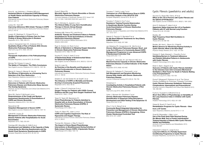

## Kruis AL, van Adrichem J, Erkelens MR et al **Sustained Effects of Integrated COPD Management on Health Status and Exercise Capacity in Primary Care Patients**

*International Journal of Chronic Obstructive Pulmonary Disease* 2010; 5: 407-13

# Lareau SC, Yawn BP

**Improving Adherence With Inhaler Therapy in COPD** *International Journal of Chronic Obstructive Pulmonary Disease*  2010; 5: 401-6

### Leuppi JD, Miedinger D, Chhajed PN et al

**Quality of Spirometry in Primary Care for Case Finding of Airway Obstruction in Smokers** *Respiration* 2010; 79(6): 469-474

# Lohne V, Drangsholt Heer HC, Andersen M et al **Qualitative Study of Pain of Patients With Chronic Obstructive Pulmonary Disease** *Heart and Lung* 2010; 39(3): 226-234

#### Macklem PT

**Therapeutic Implications of the Pathophysiology of COPD**  *European Respiratory Journal* 2010; 35: 676-680

Michele TM, Pinheiro S, Iyasu S **The Safety of Tiotropium- The FDA's Conclusions** *New England Journal of Medicine* 2010; 363(12): 1097-99

# Manzar N, Haque A, Manzar B, Irfan M **The Efficacy of Spirometry as a Screening Tool in Detection of Air Flow Obstruction** *Open Respiratory Medicine Journal* 2010; 4: 71–75

# Marin J, Soriano J, Carrizo S et al

**Outcomes in Patients with Chronic Obstructive Pulmonary Disease and Obstructive Sleep Apnoea: The Overlap Syndrome** *American Journal of Respiratory and Critical Care Medicine* 2010;

182: 325-331

# Monz BU, Sachs P, McDonald J et al **Responsiveness of the Cough and Sputum Assessment Questionnaire in Exacerbations of COPD and Chronic Bronchitis**

*Respiratory Medicine* 2010; 104: 534-541

### Niewoehner DE **Outpatient Management of Severe COPD** *New England Journal of Medicine* 2010; 362(15): 1407-16

Osthoff M, Leuppi JD **Management of Chronic Obstructive Pulmonary Disease Patients after Hospitalization for Acute Exacerbation**

*Respiration* 2010; 79(3): 255-261

# Partridge MR, Miravitlles M, Ståhl E et al

**Development and Validation of the Capacity of Daily Living during the Morning Questionnaire and the Global Chest Symptoms Questionnaire in COPD**  *European Respiratory Journal* 2010; 36: 96-104

# Poole P, Black PN **Mucolytic Agents for Chronic Bronchitis or Chronic Obstructive Pulmonary Disease**

*Cochrane Database of Systematic Reviews* 2010; Issue 2 UK DOI: 10 1002 /14651858 CD001287 pub3 2010

### Rea H, McAuley S, Jayaram L et al

**The Clinical Utility of Long-Term Humidification Therapy in Chronic Airway Disease** *Respiratory Medicine* 2010; 104: 525-533

# Rothberg MB, Pekow PS, Lahti M et al

**Antibiotic Therapy and Treatment Failure in Patients Hospitalized for Acute Exacerbations of Chronic Obstructive Pulmonary Disease** *Journal of the American Medical Association* 2010; 303(20): 2035-2042

# Ryan S, Doherty LS, Rock C et al **Effects of Salmeterol on Sleeping Oxygen Saturation in Chronic Obstructive Pulmonary Disease**

*Respiration* 2010; 79(6): 475-481

# Sciurba FC, Ernst A, Herth FJ et al

**A Randomized Study of Endobronchial Valves for Advanced Emphysema**

*New England Journal of Medicine* 2010; 363(13): 1233-44

# Singh S, Loke YK

# **An Overview of the Benefits and Drawbacks of Inhaled Corticosteroids in Chronic Obstructive Pulmonary Disease**

*International Journal of Chronic Obstructive Pulmonary Disease* 2010; 5: 189-95

# Snijders D, van der Eerden M, de Graaff C et al **The Influence of COPD on Mortality and Severity Scoring in Community-Acquired Pneumonia** *Respiration* 2010; 79(1): 46-53

Stoller J, Panos R, Krachman S et al **Oxygen Therapy for Patients with COPD: Current Evidence and the Long-Term Oxygen Treatment Trial** *Chest* 2010; 138(1): 179-87

# Tang CY, Taylor NF, Blackstock FC

### **Chest Physiotherapy for Patients Admitted to Hospital with an Acute Exacerbation of Chronic Obstructive Pulmonary Disease (COPD): A Systematic Review** *Physiotherapy* 2010; 96(1): 1-13

Thakur N, Blanc PD, Julian LJ et al

### **COPD and Cognitive Impairment: The Role of Hypoxemia and Oxygen Therapy** *International Journal of Chronic Obstructive Pulmonary Disease*  2010; 5: 263-9

### Thomas MJ, Simpson J, Riley R, Grant E **The Impact of Home-Based Physiotherapy Interventions on Breathlessness During Activities of Daily Living in Severe COPD: A Systematic Review** *Physiotherapy* 2010; 96(2): 108-119

### Troosters T, Celli B, Lystig T et al **Tiotropium as a First Maintenance Drug in COPD: Secondary Analysis of the UPLIFT® Trial**  European Respiratory Journal 2010; 36: 65-73

# Troosters T, Probst V, Crul T et al

# **Resistance Training Prevents Deterioration in Quadriceps Muscle Function During Acute Exacerbations of Chronic Obstructive Pulmonary Disease**

*American Journal of Respiratory and Critical Care Medicine* 2010; 181: 1072-1077

### Valente S, Pasciuto G, Bernabei R et al **Do We Need Different Treatments for Very Elderly COPD Patients?**

*Respiration* 2010; 80(5): 357-368

# van Wetering CR, Hoogendoorn M, Mol SJ et al

**Chronic Obstructive Pulmonary Disease: Short- and Long-Term Efficacy of a Community-Based COPD Management Programme in Less Advanced COPD: A Randomised Controlled Trial** *Thorax* 2010; 65: 7-13

# Verhage TL, Vercoulen JH, van Helvoort HAC et al

**Maximal Exercise Capacity in Chronic Obstructive Pulmonary Disease: A Limited Indicator of the Health Status**

*Respiration* 2010; 80(6): 453-462

# Warwick M, Gallagher R, Chenoweth L et al **Self-Management and Symptom Monitoring Among Older Adults with Chronic Obstructive Pulmonary Disease**

*Journal of Advanced Nursing* 2010; 66 (4): 784-793

# Winkelman C

**Investigating Activity in Hospitalized Patients with Chronic Obstructive Pulmonary Disease: A Pilot Study** *Heart and Lung* 2010; 39(4): 319-330

# Yorke J, Moosavi AH, Shuldham C et al

**Chronic Obstructive Pulmonary Disease: Quantification of Dyspnoea Using Descriptors: Development and Initial Testing of the Dyspnoea-12**  *Thorax* 2010; 65: 21-26

# Zhou Y, Hu G, Wang D et al

**Community Based Integrated Intervention for Prevention and Management of Chronic Obstructive Pulmonary Disease (COPD) in Guangdong, China: Cluster Randomised Controlled Trial** *BMJ* 2010; 341: c6387

# Cystic Fibrosis (paediatrics and adults)

Accurso FJ, Rowe SM, Clancy JP et al **Effect of VX-770 in Persons with Cystic Fibrosis and the G551D-***CFTR* **Mutation** *New England Journal of Medicine* 2010; 363(21): 1991-2003

Amin R, Subbarao P, Jabar A et al **Hypertonic Saline Improves the LCI in Paediatric Patients with CF with Normal Lung Function**  *Thorax* 2010; 65: 379-383

Bradley JM **High Frequency Chest Wall Oscillation in Cystic Fibrosis**  *Thorax* 2010; 65:189-190

Bradley JM, Kent L, Elborn SJ, O'Neill B **Motion Sensors for Monitoring Physical Activity in Cystic Fibrosis: What is the Next Step?** *Physical Therapy Reviews* 2010; 15(3): 197-203

Dziuban E, Saab-Abazeed L, Chaudhry S et al **Identifying Barriers to Treatment Adherence and Related Attitudinal Patterns in Adolescents with Cystic Fibrosis** *Pediatric Pulmonology* 2010; 45(5): 450-458

Efrati O, Bylin I, Segal E et al

**Outcome of Patients with Cystic Fibrosis Admitted to the Intensive Care Unit: Is Invasive Mechanical Ventilation a Risk Factor for Death in Patients Waiting Lung Transplantation?**

*Heart and Lung* 2010; 39(2): 153-159

Flume P, Mogayzel P, Robinson K et al: The Clinical Practice Guidelines for Pulmonary Therapies Committee **Cystic Fibrosis Pulmonary Guidelines: Pulmonary Complications: Haemoptysis and Pneumothorax** *American Journal of Respiratory and Critical Care Medicine* 2010; 182: 298-306

Fuchs S, Toussaint S, Edlhaimb B et al **Short-Term Effect of Physiotherapy on Variability of the Lung Clearance Index in Children with Cystic Fibrosis**

*Pediatric Pulmonology* 2010; 45(3): 301-306

Griese M, Busch P, Caroli D et al **Rehabilitation Programs for Cystic Fibrosis – View from a CF Centre** *Open Respiratory Medicine Journal* 2010; 4: 1–8

Gruet M, Brisswalter J, Mely L et al **Use of the Peak Heart Rate Reached During Six-Minute Walk Test to Predict Individualized Training Intensity in Patients With Cystic Fibrosis: Validity and Reliability**

*Archives of Physical Medicine and Rehabilitation* 2010; 91(4): 602-607

Hebestreit H, Kieser S, Junge S et al **Long-term Effects of a Partially Supervised Conditioning Programme in Cystic Fibrosis**  *European Respiratory Journal* 2010; 35: 578-583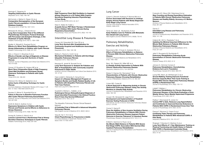

Kieninger E, Regamey N **Targeting Inflammation in Cystic Fibrosis** *Respiration* 2010; 79(3): 189-190

McCormick J, Mehta G, Olesen HV et al **Comparative Demographics of the European Cystic Fibrosis population: A Cross-Sectional Database Analysis** *The Lancet* 2010; 375(9719): 1007-1013

# McIlwaine M, Wong L, Chilvers M et al

**Long-Term Comparative Trial of Two Different Physiotherapy Techniques; Postural Drainage with Percussion and Autogenic Drainage, in the Treatment of Cystic Fibrosis** *Pediatric Pulmonology* 2010; 45(11): 1064-1069

Moeller A, Stämpfli S, Rueckert B et al

**Effects of a Short-Term Rehabilitation Program on Airway Inflammation in Children with Cystic Fibrosis** *Pediatric Pulmonology* 2010; 45(6): 451-551

#### Nick J, Chacon C, Brayshaw S et al

**Effects of Gender and Age at Diagnosis on Disease Progression in Long-term Survivors of Cystic Fibrosis** 

*American Journal of Respiratory and Critical Care Medicine* 2010; 182: 614-626

#### Osman LP, Roughton M, Hodson ME et al

**Short-Term Comparative Study of High Frequency Chest Wall Oscillation and European Airway Clearance Techniques in Patients with Cystic Fibrosis** 

*Thorax* 2010; 65: 196-200

#### Robinson KA, Mckoy N, Saldanha I et al **Active Cycle of Breathing Technique for Cystic Fibrosis**

*Cochrane Database of Systematic Reviews* 2010; Issue 11 UK DOI: 10 1002 /14651858 CD0078 2010

### Sanders D, Bittner R, Rosenfeld M et al

**Failure to Recover to Baseline Pulmonary Function after Cystic Fibrosis Pulmonary Exacerbation**  *American Journal of Respiratory and Critical Care Medicine* 2010;

182: 627-632

### Smith B, Modi A, Quittner A et al

**Depressive Symptoms in Children with Cystic Fibrosis and Parents and its Effects on Adherence to Airway Clearance**

The Idiopathic Pulmonary Fibrosis Clinical Research **Network** 

*Pediatric Pulmonology* 2010; 45(8): 756-763

### Sontag M, Quittner A, Modi A et al

**Lessons Learned from a Randomized Trial of Airway Secretion Clearance Techniques in Cystic Fibrosis** *Pediatric Pulmonology* 2010; 45(3): 291-300

#### Treacy K

**High Frequency Chest Wall Oscillation to Augment Airway Clearance in a CF Patient With Copious Secretions Requiring Intensive Physiotherapy: A Case Study.** *Journal of the ACPRC* 2010; 42: 22-7

# West K, Wallen M, Follett J

**Acapella Versus PEP Mask Therapy: A Randomized Trial in Children With Cystic Fibrosis During Respiratory Exacerbation**  *Physiotherapy Theory and Practice* 2010; 26(3): 143-149

# Interstitial Lung Disease & Pneumonia

Cecere LM, Rubenfeld GD, Park DR et al **Long-Term Survival after Hospitalization for Community-Acquired and Healthcare-Associated Pneumonia** *Respiration* 2010; 79(2): 128-136

# Mollica C, Paone G, Conti V et al

**Mechanical Ventilation in Patients with End-Stage Idiopathic Pulmonary Fibrosis** *Respiration* 2010; 79(3): 209-215

# Neupane B, Jerrett M, Burnett R et al

**Long-Term Exposure to Ambient Air Pollution and Risk of Hospitalization with Community-acquired Pneumonia in Older Adults** *American Journal of Respiratory and Critical Care Medicine* 2010; 181: 47-53

### Oare Lindell K, Olshansky E, Song M et al

**Impact of a Disease-Management Program on Symptom Burden and Health-Related Quality of Life in Patients with Idiopathic Pulmonary Fibrosis and Their Care Partners** *Heart and Lung* 2010; 39(4): 304-313

# Quadrelli S, Molinari L, Ciallella L et al

**Radiological Versus Histopathological Diagnosis of Usual Interstitial Pneumonia in the Clinical Practice: Does It have Any Survival Difference?** *Respiration* 2010; 79(1): 32-37

**A Controlled Trial of Sildenafil in Advanced Idiopathic Pulmonary Fibrosis**

*New England Journal of Medicine* 2010; 363(7): 620-8

#### Yang M, Yan Y, Yin X et al

**Chest Physiotherapy for Pneumonia in Adults** *Cochrane Database of Systematic Reviews* 2010; Issue 2 DOI: 10 1002 /2010

# Lung Cancer

Cykert S, Dilworth-Anderson P, Monroe MH et al **Factors Associated with Decisions to Undergo Surgery Among Patients with Newly Diagnosed Early-Stage Lung Cancer**

*Journal of the American Medical Association* 2010; 303(23): 2368-2376

# Temel JS, Greer JA, Muzikansky A et al **Early Palliative Care for Patients with Metastatic Non–Small-Cell Lung Cancer**

*New England Journal of Medicine* 2010; 363(8): 733-42

# Pulmonary Rehabilitation, Exercise and Activity

# Beauchamp MK, O'Hoski S, Goldstein RS et al **Effect of Pulmonary Rehabilitation on Balance in Persons With Chronic Obstructive Pulmonary Disease**

*Archives of Physical Medicine and Rehabilitation* 2010; 91(9): 1460-1465

# Berry MJ, Rejeski WJ, Miller ME et al

**A Lifestyle Activity Intervention in Patients With Chronic Obstructive Pulmonary Disease** *Respiratory Medicine* 2010; 104: 829-839

Bratas O, Espnes GA, Rannestad T et al **Characteristics of Patients with Chronic Obstructive Pulmonary Disease Choosing Rehabilitation** *Journal of Rehabilitation Medicine* 2010; 42: 362–367

### Cohen MD, Cutaia M

**A Novel Approach to Measuring Activity in Chronic Obstructive Pulmonary Disease: Using Two Activity Monitors to Classify Daily Activity** 

*Journal of Cardiopulmonary Rehabilitation and Prevention* 2010; 30(3): 186-194

# Cooper CB, Abrazado M, Legg D et al

**Development and Implementation of Treadmill Exercise Testing Protocols in COPD** *International Journal of Chronic Obstructive Pulmonary Disease* 2010; 5: 375-85

### Corner E, Garrod R

**Does the Addition of Non-Invasive Ventilation During Pulmonary Rehabilitation in Patients With Chronic Obstructive Pulmonary Disease Augment Patient Outcome in Exercise Tolerance? A Literature Review** *Physiotherapy Research International* 2010; 15(1): 5-15

### Enfield K, Gammon S, Floyd J et al

**Six-Minute Walk Distance in Patients With Severe End-Stage COPD: Association With Survival After Inpatient Pulmonary Rehabilitation**  *Journal of Cardiopulmonary Rehabilitation and Prevention* 2010;

30(3): 195-202

Furlanetto KC, Bisca GW, Oldemberg N et al **Step Counting and Energy Expenditure Estimation in Patients With Chronic Obstructive Pulmonary Disease and Healthy Elderly: Accuracy of 2 Motion Sensors**

*Archives of Physical Medicine and Rehabilitation* 2010; 91(2): 261-267

# Garvey C **Interstitial Lung Disease and Pulmonary Rehabilitation**

*Journal of Cardiopulmonary Rehabilitation and Prevention* 2010; 30(3): 141-146

Holland AE, Hill CJ, Rasekaba T et al **Updating the Minimal Important Difference for Six-Minute Walk Distance in Patients With Chronic Obstructive Pulmonary Disease**

*Archives of Physical Medicine and Rehabilitation* 2010; 91(2): 221-225

Jette D, Bourgeois M, Buchbinder R **Pulmonary Rehabilitation Following Acute Exacerbation of Chronic Obstructive Pulmonary Disease**

*Physical Therapy* 2010; 90(1): 9-12

Johnson K, Grimmer-Comers K **Pulmonary Rehabilitation: Overwhelming Evidence but Lost in Translation** *Physiotherapy Canada* 2010; 62(4): 368-373

Leung RW, Alison JA, McKeeough ZJ et al **Ground Walking Training Improves Functional Exercise Capacity More Than Cycle Training in People With Chronic Obstructive Pulmonary Disease (COPD): A Randomised Trial** *Journal of Physiotherapy* 2010; 56(2): 105-112

Liddell F, Webber J

**Pulmonary Rehabilitation for Chronic Obstructive Pulmonary Disease: A Pilot Study Evaluating a Once-Weekly Versus Twice-Weekly Supervised Programme** *Physiotherapy* 2010; 96(1): 68-74

Padkao T, Boonsawat W, Jones CU

**Conical-PEP is Safe, Reduces Lung Hyperinflation and Contributes to Improved Exercise Endurance in Patients With COPD: A Randomised Cross Over Trial** *Journal of Physiotherapy* 2010; 56(1): 33-40

Pasqua F, Biscione G, Crigna G et al **Combining Triple Therapy and Pulmonary Rehabilitation in Patients With Advanced COPD: A Pilot Study**

*Respiratory Medicine* 2010; 104: 412-417

Ringbaek T, Brøndum E, Martinez G et al **Long-Term Effects of 1-Year Maintenance Training on Physical Functioning and Health Status in Patients With COPD: A Randomized Controlled Study** 

*Journal of Cardiopulmonary Rehabilitation and Prevention* 2010; 30(1): 47-52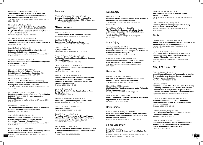

# Ringbæk T, Martinez G, Brøndum E et al **Shuttle Walking Test as Predictor of Survival in Chronic Obstructive Pulmonary Disease Patients Enrolled in a Rehabilitation Program**

*Journal of Cardiopulmonary Rehabilitation and Prevention* 2010; 30(6): 409-414

### Riog M, Eng J, MacIntyre D et al

**Associations of the Stair Climb Power Test With Muscle Strength and Functional Performance in People With Chronic Obstructive Pulmonary Disease: A Cross-Sectional Study** *Physical Therapy* 2010; 90(12): 1774-1782

Scorsone D, Bartolini S, Saporiti R et al **Does a Low-Density Gas Mixture or Oxygen Supplementation Improve Exercise Training in COPD?** *Chest* 2010; 138(5): 1133-9

Sewell L, Singh SJ, Williams JE **Seasonal Variations Affect Physical Activity and Pulmonary Rehabilitation Outcomes** 

*Journal of Cardiopulmonary Rehabilitation and Prevention* 2010; 30(5): 329-333

Seymour JM, Moore L, Jolley C et al **Outpatient Pulmonary Rehabilitation Following Acute Exacerbations of COPD**  *Thorax* 2010; 65: 423-428

Spencer LM, Alison JA, McKeough ZJ **Maintaining Benefits Following Pulmonary Rehabilitation: A Randomised Controlled Trial**  *European Respiratory Journal* 2010; 35: 571-577

# Steele BG, Belza B, Cain K et al **The Impact of Chronic Obstructive Pulmonary Disease Exacerbation on Pulmonary Rehabilitation Participation and Functional Outcomes**  Journal of Cardiopulmonary Rehabilitation and Prevention 2010;

30(1): 53-60

Sundararajan L, Balami J, Packham S **Effectiveness of Outpatient Pulmonary Rehabilitation in Elderly Patients With Chronic Obstructive Pulmonary Disease**  Journal of Cardiopulmonary Rehabilitation and Prevention 2010;

30(2): 121-125

Van der Vlist J, Janssen TW **The Potential Anti-Inflammatory Effect of Exercise in Chronic Obstructive Pulmonary Disease** *Respiration* 2010; 79(2): 160-174

### Velasco R, Pirraglia PA, Casserly B et al

**17** 

**Influence of Body Mass Index on Changes in Disease-Specific Quality of Life of Veterans Completing Pulmonary Rehabilitation**  *Journal of Cardiopulmonary Rehabilitation and Prevention* 2010;

30(5): 334-339

Wong R, Sibley KM, Hudani M et al **Characteristics of People With Chronic Lung Disease Who Rest During the Six-Minute Walk Test**

*Archives of Physical Medicine and Rehabilitation* 2010; 91(11): 1765-1769

# **Sarcoidosis**

Elfferich MD, Nelemans PJ, Ponds RW et al **Everyday Cognitive Failure in Sarcoidosis: The Prevalence and the Effect of Anti-TNF-**α **Treatment** *Respiration* 2010; 80(3): 212-219

# **Miscellaneous**

Agnelli G, Becattini C **Current Concepts: Acute Pulmonary Embolism** *New England Journal of Medicine* 2010; 363(3): 266-74

Ben-Chetrit E, Merin O **Spontaneous Tension Pneumothorax** *New England Journal of Medicine* 2010; 362(12): e43

Chen P-H, Lin X-Z **Hydropneumothorax** *New England Journal of Medicine* 2010; 362(3): e9

Geneau R, Stuckler D, Stachenko S et al **Raising the Priority of Preventing Chronic Diseases: A Political Process** *The Lancet* 2010; 376(9753): 1689-1698

Gilbert HM, Haworth CS, Wat DS et al **Airway Clearance in Bronchomalacia With Chronic Cough Suppression** *Journal of the ACPRC* 2010; 42: 28-31

Kelesidis T, Osman S, Trayner E et al **Tracheobronchitis Caused by Methicillin-Resistant Staphylococcus Aureus as a Cause of Chronic Wheezing in a Non-Ventilated Adult Patient with Tracheobronchomalacia** *Respiration* 2010; 80(2): 148-156

Morris M, Christopher K **Diagnostic Criteria for the Classification of Vocal Cord Dysfunction** *Chest* 2010; 138(5): 1213-23

Parsons JP, Benninger C, Hawley MP et al **Vocal Cord Dysfunction: Beyond Severe Asthma** *Respiratory Medicine* 2010; 104: 504-509

Rees DC, Williams TN, Gladwin MT **Sickle-Cell Disease** *The Lancet* 2010; 376(9757): 2018-2031

### Samb B, Desai N, Nishtar S et al

**Prevention and Management of Chronic Disease: a Litmus Test for Health-Systems Strengthening in Low-Income and Middle-Income Countries** *The Lancet* 2010; 376(9754): 1785-1797

Smith B, Fields C, Fernandez N

**Physical Therapists Make Accurate and Appropriate Discharge Recommendations for Patients Who Are Acutely Ill**

*Physical Therapy* 2010; 90(5): 693-703

# **Neurology**

Muller T, Muhlack S **Effect of Exercise on Reactivity and Motor Behaviour in Patients with Parkinson's Disease**  *Journal of Neurology, Neurosurgery & Psychiatry* 2010; 81(7): 747-53

Turner-Stokes L, Williams H, Siegert RJ **The Rehabilitation Complexity Scale version 2: A Clinimetric Evaluation in Patients With Severe Complex Neurodisability**  *Journal of Neurology, Neurosurgery & Psychiatry* 2010; 81(2): 146-53

# Brain Injury

Arabi Y, Haddad S, Tamim H et al **Mortality Reduction After Implementing a Clinical Practice Guidelines–Based Management Protocol for Severe Traumatic Brain Injury** *Journal of Critical Care* 2010; 25(2): 190-195

Carrera E, Schmidt JM, Fernandez L et al **Spontaneous Hyperventilation and Brain Tissue Hypoxia in Patients With Severe Brain Injury**  *Journal of Neurology, Neurosurgery & Psychiatry* 2010; 81(7): 793-7

# Neuromuscular

Dreyer P, Steffensen B, Pedersen B **Life With Home Mechanical Ventilation for Young Men with Duchenne Muscular Dystrophy** *Journal of Advanced Nursing* 2010; 66(4): 753-762

King W, Kissel JT, Montes J et al **Six-Minute Walk Test Demonstrates Motor Fatigue in Spinal Muscular Atrophy** *Neurology* 2010; 75(12): 1121-2; author reply 1122

Yoshii Y, Hadano S, Otomo A et al **Lower Serum Lipid Levels are Related to Respiratory Impairments in Patients With ALS**  *Neurology* 2010; 74(24): 2027-2028

# Neurosurgery

Chan LY, Jones AY, Chung RC, Hung KN **Peak Flow Rate During Induced Cough: A Predictor of Successful Decannulation of a Tracheotomy Tube in Neurosurgical Patients** *American Journal of Critical Care* 2010; 19(3): 278-284

# Spinal Cord Injury

Berlowitz D, Tamplin J **Respiratory Muscle Training for Cervical Spinal Cord Injury**

*Cochrane Database of Systematic Reviews - Protocols* 2010; UK DOI: 10 1002 /14651858 CD008507 2010

Hagen EM, Lie SA, Rekand T et al **Mortality After Traumatic Spinal Cord Injury: 50 Years of Follow-Up** 

*Journal of Neurology, Neurosurgery & Psychiatry* 2010; 81(4): 368-73

Roth EJ, Stenson KW, Powley S et al **Expiratory Muscle Training in Spinal Cord Injury: A Randomized Controlled Trial** *Archives of Physical Medicine and Rehabilitation* 2010;

91(6): 857-861

# Stroke

Brooks D, Davis L, Vujovic-Zotovic N et al **Sleep-Disordered Breathing in Patients Enrolled in an Inpatient Stroke Rehabilitation Program** Archives of Physical Medicine and Rehabilitation 2010; 91(4): 659-662

Topakian R, Barrick TR, Howe FA et al **Blood-Brain Barrier Permeability is Increased in Normal-Appearing White Matter in Patients with Lacunar Stroke and Leucoaraiosis** 

*Journal of Neurology, Neurosurgery & Psychiatry* 2010; 81(2): 192-7

# **NIV, CPAP and IPPB**

Banks A, Shannon H, Main E **Use of Electrical Impedance Tomography to Monitor Changes in Lung Air Content During Intermittent Positive Pressure Breathing** *Journal of the ACPRC* 2010; 42: 4-9

# Corner E, Garrod R

**Does the Addition of Non-Invasive Ventilation During Pulmonary Rehabilitation in Patients with Chronic Obstructive Pulmonary Disease Augment Patient Outcome in Exercise Tolerance? A Literature Review** *Physiotherapy Research International* 2010; 15(1): 5-15

Cuvelier A, Achour L, Rabarimanantsoa H et al **A Non-invasive Method to Identify Ineffective Triggering in Patients with Non-invasive Pressure Support Ventilation**

*Respiration* 2010; 80(3): 198-206

Dreher M, Kabitz H, Burgardt V et al **Proportional Assist Ventilation Improves Exercise Capacity in Patients with Obesity** *Respiration* 2010; 80(2): 106-111

Dreher M, Storre JH, Schmoor C et al **High-Intensity Versus Low-Intensity Non-Invasive Ventilation in Patients With Stable Hypercapnic COPD: A Randomised Crossover Trial**  *Thorax* 2010; 65: 303-308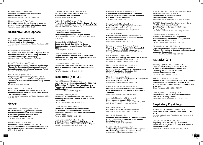

Fauroux B, Leroux K, Pépin J et al **Are Home Ventilators Able to Guarantee a Minimal Tidal Volume?** *Intensive Care Medicine* 2010; 36(6): 1008-1014

Menadue C, Alison JA, Piper AJ et al **Bi-Level Ventilation During Exercise in Acute on Chronic Respiratory Failure: A Preliminary Study** *Respiratory Medicine* 2010; 104: 219-227

# **Obstructive Sleep Apnoea**

Ayalon L, Ancoli-Israel S, Drummond S **Obstructive Sleep Apnoea and Age: A Double Insult to Brain Function** *American Journal of Respiratory and Critical Care Medicine* 2010;

182: 413-419

# Eikermann M, Garzon-Serrano J, Kwo J et al

**Do Patients with Obstructive Sleep Apnoea Have an Increased Risk of Desaturation During Induction of Anaesthesia for Weight Loss Surgery?** *Open Respiratory Medicine Journal* 2010; 4: 58–62

### Fuchs FS, Pittarelli A, Hahn EG et al

**Adherence to Continuous Positive Airway Pressure Therapy for Obstructive Sleep Apnoea: Impact of Patient Education After a Longer Treatment Period** *Respiration* 2010; 80(1): 32-37

### Kreivi H, Virkkula P, Lehto J et al

**Frequency of Upper Airway Symptoms Before and During Continuous Positive Airway Pressure Treatment in Patients With Obstructive Sleep Apnoea Syndrome**

*Respiration* 2010; 80(6): 488-494

#### Marin J, Soriano J, Carrizo S et al

**Outcomes in Patients With Chronic Obstructive Pulmonary Disease and Obstructive Sleep Apnoea: The Overlap Syndrome**

*American Journal of Respiratory and Critical Care Medicine* 2010; 182: 325-331

# **Oxygen**

Abernethy AP, McDonald CF, Frith PA et al **Effect of Palliative Oxygen Versus Room Air in Relief of Breathlessness in Patients With Refractory Dyspnoea: A Double-Blind, Randomised Controlled Trial** *The Lancet* 2010; 376(9743): 784-793

Austin M, Wills K, Blizzard L et al

**Effect of High Flow Oxygen on Mortality in Chronic Obstructive Pulmonary Disease Patients in Pre-Hospital Setting: Randomised Controlled Trial** *BMJ* 2010; 341: c5462

Chatterjee AB, Rissmiller RW, Meade K et al **Reproducibility of the 6-Minute Walk Test for Ambulatory Oxygen Prescription** *Respiration* 2010; 79(2): 121-127

Karbing D, Allerød C, Thorgaard P et al **Prospective Evaluation of a Decision Support System for Setting Inspired Oxygen in Intensive Care Patients** *Journal of Critical Care* 2010; 25(3): 367-374

# Thakur N, Blanc PD, Julian LJ et al **COPD and Cognitive Impairment: The Role of Hypoxemia and Oxygen Therapy**

*International Journal of Chronic Obstructive Pulmonary Disease*  2010; 5: 263-9

# Scorsone D, Bartolini S, Saporiti R et al **Does a Low-Density Gas Mixture or Oxygen**

**Supplementation Improve Exercise Training in COPD?** *Chest* 2010; 138(5): 1133-9

# Stoller J, Panos R, Krachman S et al

**Oxygen Therapy for Patients With COPD: Current Evidence and the Long-Term Oxygen Treatment Trial** *Chest* 2010; 138(1): 179-87

### Tiruvoipati R, Lewis D, Haji K et al **High-Flow Nasal Oxygen Versus High-Flow Face Mask: A Randomized Crossover Trial in Extubated**

**Patients**

*Journal of Critical Care* 2010; 25(3): 463-468

# **Paediatrics (non-CF)**

# Antonelli M, Azoulay E, Bonten M et al **Year in Review in** *Intensive Care Medicine* **2009. Part III: Mechanical Ventilation, Acute Lung Injury and Respiratory Distress Syndrome, Paediatrics, Ethics, and Miscellanea** *Intensive Care Medicine* 2010; 36(4): 567–584

### Chapman S, Grocott M, Franck L

**Systematic Review of Paediatric Alert Criteria for Identifying Hospitalised Children at Risk of Critical Deterioration**

*Intensive Care Medicine* 2010; 36(4): 600-611

# Cools F, Askie LM, Offringa M et al

**Elective High-Frequency Oscillatory Versus Conventional Ventilation in Preterm Infants: A Systematic Review and Meta-Analysis of Individual Patients' Data** *The Lancet* 2010; 375(9731): 2082-2091

### Farias J, Fernández A, Monteverde E et al **Critically Ill Infants and Children With Influenza A (H1N1) in Paediatric Intensive Care Units in Argentina** *Intensive Care Medicine* 2010; 36(6): 1015-1022

Halbertsma F, Vaneker M, Pickkers P et al **A Single Recruitment Manoeuvre in Ventilated Critically Ill Children Can Translocate Pulmonary Cytokines into the Circulation** *Journal of Critical Care* 2010; 25(1): 10-15

Hodges O, Zar H, Mamathuba R et al

**Bilateral Partial Lung Lavage in an Infant With Pulmonary Alveolar Proteinosis** *British Journal of Anaesthesia* 2010; 104(2): 228-230

### Jan S, Lin S, Fu Y et al

**Extracorporeal Life Support for Treatment of Children With Enterovirus 71 Infection-Related Cardiopulmonary Failure** *Intensive Care Medicine* 2010; 36(3): 520-527

Lemanske RF, Mauger DT, Sorkness CA et al **Step-up Therapy for Children With Uncontrolled Asthma Receiving Inhaled Corticosteroids** *New England Journal of Medicine* 2010; 362(11): 975-85

Liet JM, Ducruet T, Gupta V et al **Heliox Inhalation Therapy for Bronchiolitis in Infants** *Cochrane Database of Systematic Reviews* 2010; Issue 4 UK DOI: 10 1002 /14651858 CD00 2010

Mercier J-C, Hummler H, Durrmeyer X et al **Inhaled Nitric Oxide for Prevention of Bronchopulmonary Dysplasia in Premature Babies (EUNO): A Randomised Controlled Trial** *The Lancet* 2010; 376(9738): 346-354

Milési C, Ferragu F, Jaber S et al **Continuous Positive Airway Pressure Ventilation With Helmet in Infants Under 1 Year** *Intensive Care Medicine* 2010; 36(9): 1592-1596

Naghib S, Van der Starre C, Gischler S et al **Mortality in Very Long-Stay Paediatric Intensive Care Unit Patients and Incidence of Withdrawal of Treatment**

*Intensive Care Medicine* 2010; 36(1): 131-136

Oduwole O, Meremikwu MM, Oyo IA et al **Honey for Acute Cough in Children** *Cochrane Database of Systematic Reviews* 2010; Issue 1 UK DOI: 10 1002 /14651858 CD007094 pub2 2010

Randhawa I, Nussbaum E **Not All That Wheezes Is Bronchial Asthma** *New England Journal of Medicine* 2010; 363(1): e1

#### Sachedina N, Donaldson LJ

**Paediatric Mortality Related to Pandemic Influenza A H1N1 Infection in England: An Observational Population-Based Study** *The Lancet* 2010; 376(9755): 1846-1852

#### Schaible T, Hermle D, Loersch F et al

**A 20-year Experience on Neonatal Extracorporeal Membrane Oxygenation in a Referral Centre** *Intensive Care Medicine* 2010; 36(7): 1229-1234

SUPPORT Study Group of the Eunice Kennedy Shriver NICHD Neonatal Research Network

**Target Ranges of Oxygen Saturation in Extremely Preterm Infants**

*New England Journal of Medicine* 2010; 362(21); 1959-69

SUPPORT Study Group of the Eunice Kennedy Shriver NICHD Neonatal Research Network **Early CPAP Versus Surfactant in Extremely Preterm Infants** *New England Journal of Medicine* 2010; 362(21): 1970-9

Tissières P, Myers P, Beghetti M et al **Surfactant Use Based on the Oxygenation Response to Lung Recruitment During HFOV in Very Low Birth Weight Infants**

*Intensive Care Medicine* 2010; 36(7): 1164-1170

Wildschut E, Hanekamp M, Vet N et al **Feasibility of Sedation and Analgesia Interruption Following Cannulation in Neonates on Extracorporeal Membrane Oxygenation** *Intensive Care Medicine* 2010; 36(9): 1587-1591

# **Palliative Care**

Abernethy AP, McDonald CF, Frith PA et al **Effect of Palliative Oxygen Versus Room Air in Relief of Breathlessness in Patients With Refractory Dyspnoea: a Double-Blind, Randomised Controlled Trial** *The Lancet* 2010; 376(9743): 784-793

Nelson JE, Bassett R, Boss RD et al **Models for Structuring a Clinical Initiative to Enhance Palliative Care in the Intensive Care Unit: A Report from the IPAL-ICU Project (Improving Palliative Care in the ICU)**  *Critical Care Medicine* 2010; 38(9): 1765-1772

Temel JS, Greer JA, Muzikansky A et al **Early Palliative Care for Patients with Metastatic Non–Small-Cell Lung Cancer** *New England Journal of Medicine* 2010; 363(8): 733-42

# **Respiratory Physiology**

Akkerman M, van Brussel M, Hulzebos E et al **The Oxygen Uptake Efficiency Slope: What Do We Know?**

Journal of Cardiopulmonary Rehabilitation and Prevention 2010; 30(6): 357-73

Chang A, Palmer K, McNaught J et al **Inspiratory Flow Rate, Not Type of Incentive Spirometry Device, Influences Chest Wall Motion in Healthy Individuals** 

*Physiotherapy Theory and Practice* 2010; 26(6): 385-392